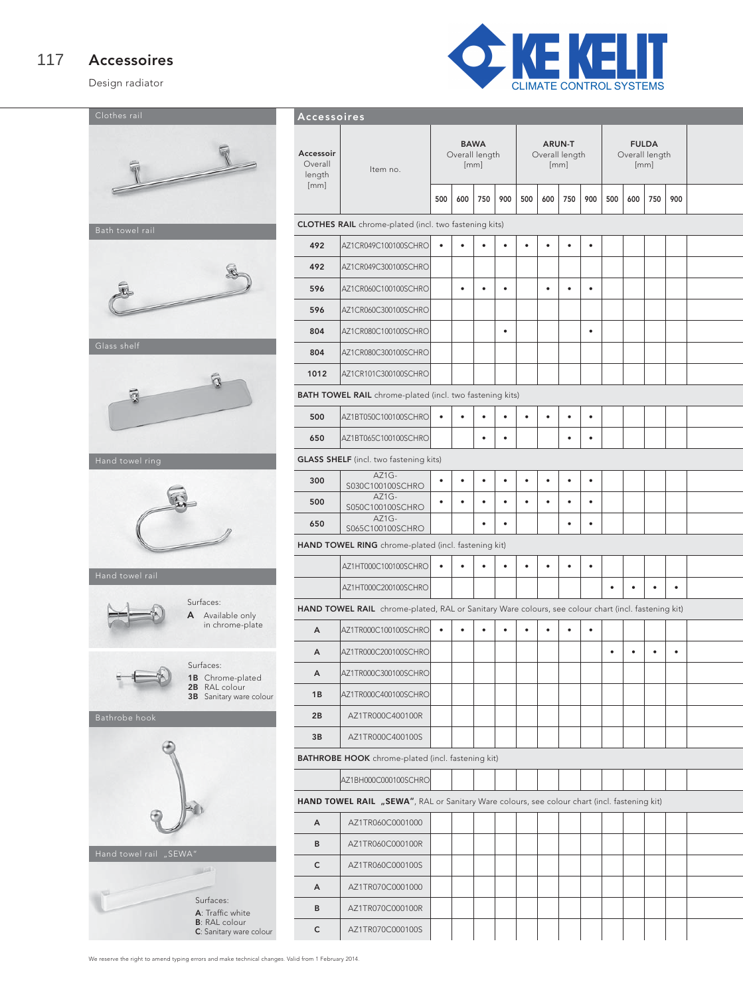#### Accessoires 117

Design radiator





| Accessoires                                                                                  |                                                                                                     |           |           |                                              |           |                                                                     |           |           |           |                                                                    |           |   |           |  |
|----------------------------------------------------------------------------------------------|-----------------------------------------------------------------------------------------------------|-----------|-----------|----------------------------------------------|-----------|---------------------------------------------------------------------|-----------|-----------|-----------|--------------------------------------------------------------------|-----------|---|-----------|--|
| Accessoir<br>Overall<br>length<br>[mm]                                                       | Item no.                                                                                            |           | 600       | <b>BAWA</b><br>Overall length<br>[mm]<br>750 | 900       | <b>ARUN-T</b><br>Overall length<br>[mm]<br>500<br>600<br>750<br>900 |           |           |           | <b>FULDA</b><br>Overall length<br>[mm]<br>500<br>600<br>750<br>900 |           |   |           |  |
|                                                                                              |                                                                                                     | 500       |           |                                              |           |                                                                     |           |           |           |                                                                    |           |   |           |  |
|                                                                                              | <b>CLOTHES RAIL</b> chrome-plated (incl. two fastening kits)                                        |           |           |                                              |           |                                                                     |           |           |           |                                                                    |           |   |           |  |
| 492                                                                                          | AZ1CR049C100100SCHRO                                                                                |           |           |                                              | ٠         | ٠                                                                   | ٠         | $\bullet$ | ٠         |                                                                    |           |   |           |  |
| 492                                                                                          | AZ1CR049C300100SCHRO                                                                                |           |           |                                              |           |                                                                     |           |           |           |                                                                    |           |   |           |  |
| 596                                                                                          | AZ1CR060C100100SCHRO                                                                                |           | $\bullet$ | ٠                                            | $\bullet$ |                                                                     | ٠         | $\bullet$ | $\bullet$ |                                                                    |           |   |           |  |
| 596                                                                                          | AZ1CR060C300100SCHRO                                                                                |           |           |                                              |           |                                                                     |           |           |           |                                                                    |           |   |           |  |
| 804                                                                                          | AZ1CR080C100100SCHRO                                                                                |           |           |                                              | $\bullet$ |                                                                     |           |           | $\bullet$ |                                                                    |           |   |           |  |
| 804                                                                                          | AZ1CR080C300100SCHRO                                                                                |           |           |                                              |           |                                                                     |           |           |           |                                                                    |           |   |           |  |
| 1012                                                                                         | AZ1CR101C300100SCHRO                                                                                |           |           |                                              |           |                                                                     |           |           |           |                                                                    |           |   |           |  |
|                                                                                              | <b>BATH TOWEL RAIL</b> chrome-plated (incl. two fastening kits)                                     |           |           |                                              |           |                                                                     |           |           |           |                                                                    |           |   |           |  |
| 500                                                                                          | AZ1BT050C100100SCHRO                                                                                | $\bullet$ | $\bullet$ | $\bullet$                                    | ٠         | $\bullet$                                                           | ٠         | $\bullet$ | $\bullet$ |                                                                    |           |   |           |  |
| 650                                                                                          | AZ1BT065C100100SCHRO                                                                                |           |           | $\bullet$                                    | $\bullet$ |                                                                     |           | $\bullet$ | $\bullet$ |                                                                    |           |   |           |  |
|                                                                                              | <b>GLASS SHELF</b> (incl. two fastening kits)                                                       |           |           |                                              |           |                                                                     |           |           |           |                                                                    |           |   |           |  |
| 300                                                                                          | AZ1G-<br>S030C100100SCHRO                                                                           | ٠         | $\bullet$ | $\bullet$                                    | $\bullet$ | $\bullet$                                                           | $\bullet$ | $\bullet$ | $\bullet$ |                                                                    |           |   |           |  |
| 500                                                                                          | $AZ1G-$<br>S050C100100SCHRO                                                                         | $\bullet$ | $\bullet$ | ٠                                            | $\bullet$ |                                                                     | ٠         | ٠         | $\bullet$ |                                                                    |           |   |           |  |
| 650                                                                                          | AZ1G-<br>S065C100100SCHRO                                                                           |           |           | $\bullet$                                    | $\bullet$ |                                                                     |           | $\bullet$ | $\bullet$ |                                                                    |           |   |           |  |
|                                                                                              | HAND TOWEL RING chrome-plated (incl. fastening kit)                                                 |           |           |                                              |           |                                                                     |           |           |           |                                                                    |           |   |           |  |
|                                                                                              | AZ1HT000C100100SCHRO                                                                                | $\bullet$ | $\bullet$ | $\bullet$                                    | ٠         | ٠                                                                   | ٠         | $\bullet$ | ٠         |                                                                    |           |   |           |  |
|                                                                                              | AZ1HT000C200100SCHRO                                                                                |           |           |                                              |           |                                                                     |           |           |           | $\bullet$                                                          |           |   | $\bullet$ |  |
|                                                                                              | HAND TOWEL RAIL chrome-plated, RAL or Sanitary Ware colours, see colour chart (incl. fastening kit) |           |           |                                              |           |                                                                     |           |           |           |                                                                    |           |   |           |  |
| А                                                                                            | AZ1TR000C100100SCHRO                                                                                |           |           |                                              |           |                                                                     |           | $\bullet$ | ٠         |                                                                    |           |   |           |  |
| А                                                                                            | AZ1TR000C200100SCHRO                                                                                |           |           |                                              |           |                                                                     |           |           |           | $\bullet$                                                          | $\bullet$ | ٠ | $\bullet$ |  |
| А                                                                                            | AZ1TR000C300100SCHRO                                                                                |           |           |                                              |           |                                                                     |           |           |           |                                                                    |           |   |           |  |
| 1B                                                                                           | AZ1TR000C400100SCHRO                                                                                |           |           |                                              |           |                                                                     |           |           |           |                                                                    |           |   |           |  |
| 2B                                                                                           | AZ1TR000C400100R                                                                                    |           |           |                                              |           |                                                                     |           |           |           |                                                                    |           |   |           |  |
| 3B                                                                                           | AZ1TR000C400100S                                                                                    |           |           |                                              |           |                                                                     |           |           |           |                                                                    |           |   |           |  |
|                                                                                              | <b>BATHROBE HOOK</b> chrome-plated (incl. fastening kit)                                            |           |           |                                              |           |                                                                     |           |           |           |                                                                    |           |   |           |  |
|                                                                                              | AZ1BH000C000100SCHRO                                                                                |           |           |                                              |           |                                                                     |           |           |           |                                                                    |           |   |           |  |
| HAND TOWEL RAIL "SEWA", RAL or Sanitary Ware colours, see colour chart (incl. fastening kit) |                                                                                                     |           |           |                                              |           |                                                                     |           |           |           |                                                                    |           |   |           |  |
| А                                                                                            | AZ1TR060C0001000                                                                                    |           |           |                                              |           |                                                                     |           |           |           |                                                                    |           |   |           |  |
| В                                                                                            | AZ1TR060C000100R                                                                                    |           |           |                                              |           |                                                                     |           |           |           |                                                                    |           |   |           |  |
| c                                                                                            | AZ1TR060C000100S                                                                                    |           |           |                                              |           |                                                                     |           |           |           |                                                                    |           |   |           |  |
| А                                                                                            | AZ1TR070C0001000                                                                                    |           |           |                                              |           |                                                                     |           |           |           |                                                                    |           |   |           |  |
| в                                                                                            | AZ1TR070C000100R                                                                                    |           |           |                                              |           |                                                                     |           |           |           |                                                                    |           |   |           |  |
| $\mathsf{C}$                                                                                 | AZ1TR070C000100S                                                                                    |           |           |                                              |           |                                                                     |           |           |           |                                                                    |           |   |           |  |
|                                                                                              |                                                                                                     |           |           |                                              |           |                                                                     |           |           |           |                                                                    |           |   |           |  |

We reserve the right to amend typing errors and make technical changes. Valid from 1 February 2014.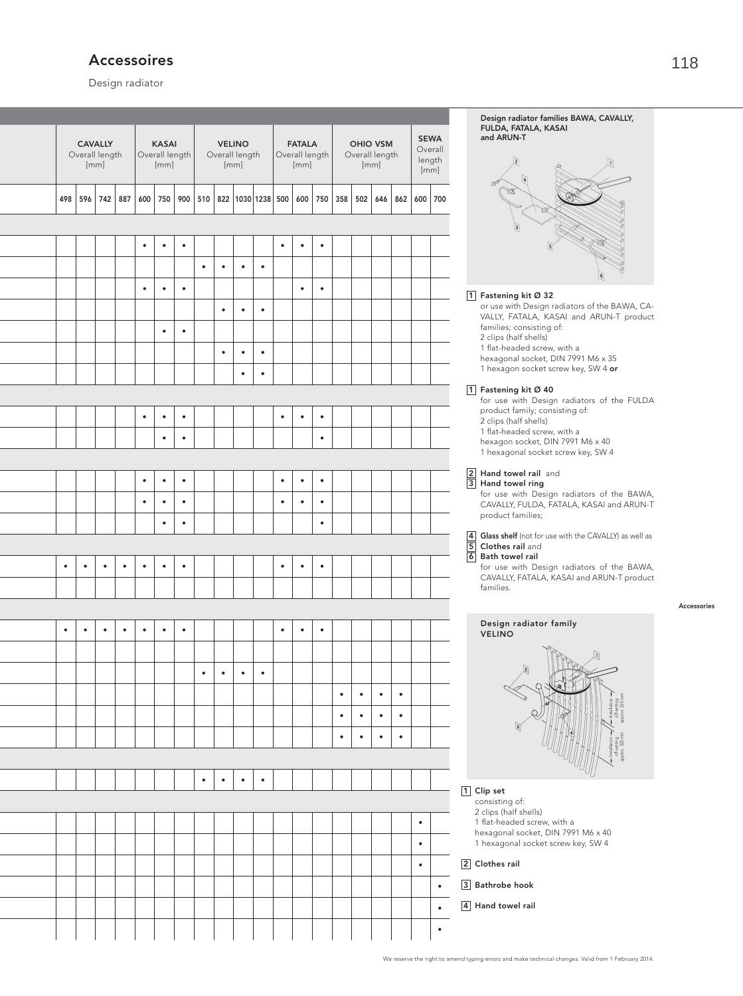# Accessoires

Design radiator

|           | Overall length | <b>CAVALLY</b><br>[mm] |           |           | <b>KASAI</b><br>Overall length<br>[mm] |                        |           | <b>VELINO</b><br>Overall length | [mm]      |                         |           | <b>FATALA</b><br>Overall length<br>[mm] |                        |                        |                        | <b>OHIO VSM</b><br>Overall length<br>[mm] |                        |           | <b>SEWA</b><br>Overall<br>length<br>[mm] | Design radiator families BAWA, CAVALLY,<br>FULDA, FATALA, KASAI<br>and ARUN-T                                              |
|-----------|----------------|------------------------|-----------|-----------|----------------------------------------|------------------------|-----------|---------------------------------|-----------|-------------------------|-----------|-----------------------------------------|------------------------|------------------------|------------------------|-------------------------------------------|------------------------|-----------|------------------------------------------|----------------------------------------------------------------------------------------------------------------------------|
| 498       | 596            | 742                    | 887       | 600       | 750                                    | 900                    | 510       |                                 |           | 822   1030   1238   500 |           | 600                                     | 750                    | 358                    | 502                    | 646                                       |                        | 862   600 | 700                                      |                                                                                                                            |
|           |                |                        |           |           |                                        |                        |           |                                 |           |                         |           |                                         |                        |                        |                        |                                           |                        |           |                                          |                                                                                                                            |
|           |                |                        |           | $\bullet$ | $\bullet$                              | $\bullet$              |           |                                 |           |                         | $\bullet$ | $\bullet$                               | $\bullet$              |                        |                        |                                           |                        |           |                                          |                                                                                                                            |
|           |                |                        |           |           |                                        |                        | $\bullet$ | $\bullet$                       | $\bullet$ | $\bullet$               |           |                                         |                        |                        |                        |                                           |                        |           |                                          |                                                                                                                            |
|           |                |                        |           | $\bullet$ | $\bullet$                              | $\bullet$              |           |                                 |           |                         |           | $\bullet$                               | $\bullet$              |                        |                        |                                           |                        |           |                                          | $\boxed{1}$<br>Fastening kit Ø 32                                                                                          |
|           |                |                        |           |           | $\bullet$                              | $\bullet$              |           | $\bullet$                       | $\bullet$ | $\bullet$               |           |                                         |                        |                        |                        |                                           |                        |           |                                          | or use with Design radiators of the BAWA, CA-<br>VALLY, FATALA, KASAI and ARUN-T product<br>families; consisting of:       |
|           |                |                        |           |           |                                        |                        |           | $\bullet$                       | $\bullet$ | $\bullet$               |           |                                         |                        |                        |                        |                                           |                        |           |                                          | 2 clips (half shells)<br>1 flat-headed screw, with a<br>hexagonal socket, DIN 7991 M6 x 35                                 |
|           |                |                        |           |           |                                        |                        |           |                                 | $\bullet$ | $\bullet$               |           |                                         |                        |                        |                        |                                           |                        |           |                                          | 1 hexagon socket screw key, SW 4 or                                                                                        |
|           |                |                        |           |           |                                        |                        |           |                                 |           |                         |           |                                         |                        |                        |                        |                                           |                        |           |                                          | 1 Fastening kit Ø 40<br>for use with Design radiators of the FULDA                                                         |
|           |                |                        |           | $\bullet$ | $\bullet$                              | $\bullet$              |           |                                 |           |                         | $\bullet$ | $\bullet$                               | $\bullet$              |                        |                        |                                           |                        |           |                                          | product family; consisting of:<br>2 clips (half shells)                                                                    |
|           |                |                        |           |           | $\bullet$                              | $\bullet$              |           |                                 |           |                         |           |                                         | $\bullet$              |                        |                        |                                           |                        |           |                                          | 1 flat-headed screw, with a<br>hexagon socket, DIN 7991 M6 x 40<br>1 hexagonal socket screw key, SW 4                      |
|           |                |                        |           |           |                                        |                        |           |                                 |           |                         |           |                                         |                        |                        |                        |                                           |                        |           |                                          | Hand towel rail and                                                                                                        |
|           |                |                        |           | $\bullet$ | $\bullet$                              | $\bullet$              |           |                                 |           |                         | $\bullet$ | $\bullet$                               | $\bullet$              |                        |                        |                                           |                        |           |                                          | $\boxed{2}$ Hand towel rail<br>$\boxed{3}$ Hand towel ring<br>for use with Design radiators of the BAWA,                   |
|           |                |                        |           | $\bullet$ | $\bullet$<br>$\bullet$                 | $\bullet$<br>$\bullet$ |           |                                 |           |                         | $\bullet$ | $\bullet$                               | $\bullet$<br>$\bullet$ |                        |                        |                                           |                        |           |                                          | CAVALLY, FULDA, FATALA, KASAI and ARUN-T<br>product families;                                                              |
|           |                |                        |           |           |                                        |                        |           |                                 |           |                         |           |                                         |                        |                        |                        |                                           |                        |           |                                          | Glass shelf (not for use with the CAVALLY) as well as<br>4 Glass shelf (not for<br>5 Clothes rail and<br>6 Bath towel rail |
| $\bullet$ | $\bullet$      | $\bullet$              | $\bullet$ | $\bullet$ | $\bullet$                              | $\bullet$              |           |                                 |           |                         | $\bullet$ | $\bullet$                               | $\bullet$              |                        |                        |                                           |                        |           |                                          | for use with Design radiators of the BAWA,                                                                                 |
|           |                |                        |           |           |                                        |                        |           |                                 |           |                         |           |                                         |                        |                        |                        |                                           |                        |           |                                          | CAVALLY, FATALA, KASAI and ARUN-T product<br>families.                                                                     |
|           |                |                        |           |           |                                        |                        |           |                                 |           |                         |           |                                         |                        |                        |                        |                                           |                        |           |                                          |                                                                                                                            |
|           |                |                        |           |           |                                        |                        |           |                                 |           |                         |           |                                         |                        |                        |                        |                                           |                        |           |                                          | Design radiator family<br><b>VELINO</b>                                                                                    |
|           |                |                        |           |           |                                        |                        |           |                                 |           |                         |           |                                         |                        |                        |                        |                                           |                        |           |                                          |                                                                                                                            |
|           |                |                        |           |           |                                        |                        | $\bullet$ | $\bullet$                       | $\bullet$ | $\bullet$               |           |                                         |                        |                        |                        |                                           |                        |           |                                          |                                                                                                                            |
|           |                |                        |           |           |                                        |                        |           |                                 |           |                         |           |                                         |                        | $\bullet$<br>$\bullet$ | $\bullet$<br>$\bullet$ | $\bullet$<br>$\bullet$                    | $\bullet$<br>$\bullet$ |           |                                          |                                                                                                                            |
|           |                |                        |           |           |                                        |                        |           |                                 |           |                         |           |                                         |                        | $\bullet$              | $\bullet$              | $\bullet$                                 | $\bullet$              |           |                                          |                                                                                                                            |
|           |                |                        |           |           |                                        |                        |           |                                 |           |                         |           |                                         |                        |                        |                        |                                           |                        |           |                                          |                                                                                                                            |
|           |                |                        |           |           |                                        |                        | $\bullet$ | $\bullet$                       | $\bullet$ | $\bullet$               |           |                                         |                        |                        |                        |                                           |                        |           |                                          |                                                                                                                            |
|           |                |                        |           |           |                                        |                        |           |                                 |           |                         |           |                                         |                        |                        |                        |                                           |                        |           |                                          | 1 Clip set<br>consisting of:                                                                                               |
|           |                |                        |           |           |                                        |                        |           |                                 |           |                         |           |                                         |                        |                        |                        |                                           |                        | $\bullet$ |                                          | 2 clips (half shells)<br>1 flat-headed screw, with a<br>hexagonal socket, DIN 7991 M6 x 40                                 |
|           |                |                        |           |           |                                        |                        |           |                                 |           |                         |           |                                         |                        |                        |                        |                                           |                        | $\bullet$ |                                          | 1 hexagonal socket screw key, SW 4                                                                                         |
|           |                |                        |           |           |                                        |                        |           |                                 |           |                         |           |                                         |                        |                        |                        |                                           |                        | $\bullet$ |                                          | 2 Clothes rail                                                                                                             |
|           |                |                        |           |           |                                        |                        |           |                                 |           |                         |           |                                         |                        |                        |                        |                                           |                        |           | $\bullet$                                | 3 Bathrobe hook<br>4 Hand towel rail                                                                                       |
|           |                |                        |           |           |                                        |                        |           |                                 |           |                         |           |                                         |                        |                        |                        |                                           |                        |           | $\bullet$                                |                                                                                                                            |
|           |                |                        |           |           |                                        |                        |           |                                 |           |                         |           |                                         |                        |                        |                        |                                           |                        |           | $\bullet$                                |                                                                                                                            |

Accessories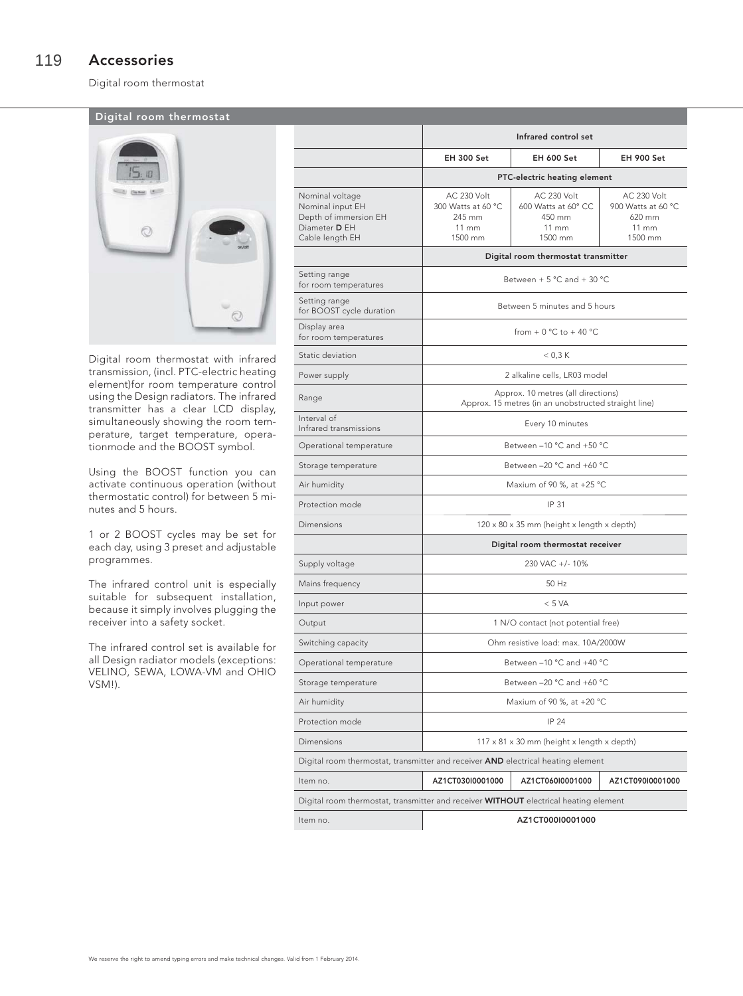Digital room thermostat

# Digital room thermostat



Digital room thermostat with infrared transmission, (incl. PTC-electric heating element)for room temperature control using the Design radiators. The infrared transmitter has a clear LCD display, simultaneously showing the room temperature, target temperature, operationmode and the BOOST symbol.

Using the BOOST function you can activate continuous operation (without thermostatic control) for between 5 minutes and 5 hours.

1 or 2 BOOST cycles may be set for each day, using 3 preset and adjustable programmes.

The infrared control unit is especially suitable for subsequent installation, because it simply involves plugging the receiver into a safety socket.

The infrared control set is available for all Design radiator models (exceptions: VELINO, SEWA, LOWA-VM and OHIO VSM!).

|                                                                                                  |                                                                                  | Infrared control set                                                                       |                                                                             |  |  |  |  |  |  |
|--------------------------------------------------------------------------------------------------|----------------------------------------------------------------------------------|--------------------------------------------------------------------------------------------|-----------------------------------------------------------------------------|--|--|--|--|--|--|
|                                                                                                  | <b>EH 300 Set</b>                                                                | <b>EH 600 Set</b>                                                                          | <b>EH 900 Set</b>                                                           |  |  |  |  |  |  |
|                                                                                                  | PTC-electric heating element                                                     |                                                                                            |                                                                             |  |  |  |  |  |  |
| Nominal voltage<br>Nominal input EH<br>Depth of immersion EH<br>Diameter D EH<br>Cable length EH | <b>AC 230 Volt</b><br>300 Watts at 60 °C<br>245 mm<br>$11 \text{ mm}$<br>1500 mm | <b>AC 230 Volt</b><br>600 Watts at 60° CC<br>450 mm<br>$11 \text{ mm}$<br>1500 mm          | AC 230 Volt<br>900 Watts at 60 °C<br>620 mm<br>$11 \, \text{mm}$<br>1500 mm |  |  |  |  |  |  |
|                                                                                                  | Digital room thermostat transmitter                                              |                                                                                            |                                                                             |  |  |  |  |  |  |
| Setting range<br>for room temperatures                                                           | Between + 5 °C and + 30 °C                                                       |                                                                                            |                                                                             |  |  |  |  |  |  |
| Setting range<br>for BOOST cycle duration                                                        |                                                                                  | Between 5 minutes and 5 hours                                                              |                                                                             |  |  |  |  |  |  |
| Display area<br>for room temperatures                                                            |                                                                                  | from $+0$ °C to $+40$ °C                                                                   |                                                                             |  |  |  |  |  |  |
| Static deviation                                                                                 |                                                                                  | $<$ 0,3 K                                                                                  |                                                                             |  |  |  |  |  |  |
| Power supply                                                                                     |                                                                                  | 2 alkaline cells, LR03 model                                                               |                                                                             |  |  |  |  |  |  |
| Range                                                                                            |                                                                                  | Approx. 10 metres (all directions)<br>Approx. 15 metres (in an unobstructed straight line) |                                                                             |  |  |  |  |  |  |
| Interval of<br>Infrared transmissions                                                            | Every 10 minutes                                                                 |                                                                                            |                                                                             |  |  |  |  |  |  |
| Operational temperature                                                                          | Between -10 °C and +50 °C                                                        |                                                                                            |                                                                             |  |  |  |  |  |  |
| Storage temperature                                                                              | Between -20 °C and +60 °C                                                        |                                                                                            |                                                                             |  |  |  |  |  |  |
| Air humidity                                                                                     | Maxium of 90 %, at $+25$ °C                                                      |                                                                                            |                                                                             |  |  |  |  |  |  |
| Protection mode                                                                                  | IP 31                                                                            |                                                                                            |                                                                             |  |  |  |  |  |  |
| Dimensions                                                                                       | 120 x 80 x 35 mm (height x length x depth)                                       |                                                                                            |                                                                             |  |  |  |  |  |  |
|                                                                                                  |                                                                                  | Digital room thermostat receiver                                                           |                                                                             |  |  |  |  |  |  |
| Supply voltage                                                                                   |                                                                                  | 230 VAC +/- 10%                                                                            |                                                                             |  |  |  |  |  |  |
| Mains frequency                                                                                  |                                                                                  | 50 Hz                                                                                      |                                                                             |  |  |  |  |  |  |
| Input power                                                                                      | < 5 VA                                                                           |                                                                                            |                                                                             |  |  |  |  |  |  |
| Output                                                                                           | 1 N/O contact (not potential free)                                               |                                                                                            |                                                                             |  |  |  |  |  |  |
| Switching capacity                                                                               | Ohm resistive load: max. 10A/2000W                                               |                                                                                            |                                                                             |  |  |  |  |  |  |
| Operational temperature                                                                          | Between -10 °C and +40 °C                                                        |                                                                                            |                                                                             |  |  |  |  |  |  |
| Storage temperature                                                                              | Between -20 °C and +60 °C                                                        |                                                                                            |                                                                             |  |  |  |  |  |  |
| Air humidity                                                                                     | Maxium of 90 %, at +20 °C                                                        |                                                                                            |                                                                             |  |  |  |  |  |  |
| Protection mode                                                                                  | IP 24                                                                            |                                                                                            |                                                                             |  |  |  |  |  |  |
| Dimensions                                                                                       | $117 \times 81 \times 30$ mm (height x length x depth)                           |                                                                                            |                                                                             |  |  |  |  |  |  |
|                                                                                                  | Digital room thermostat, transmitter and receiver AND electrical heating element |                                                                                            |                                                                             |  |  |  |  |  |  |
| Item no.                                                                                         | AZ1CT030I0001000                                                                 | AZ1CT060I0001000                                                                           | AZ1CT090I0001000                                                            |  |  |  |  |  |  |
| Digital room thermostat, transmitter and receiver WITHOUT electrical heating element             |                                                                                  |                                                                                            |                                                                             |  |  |  |  |  |  |
| ltem no.                                                                                         |                                                                                  | AZ1CT000I0001000                                                                           |                                                                             |  |  |  |  |  |  |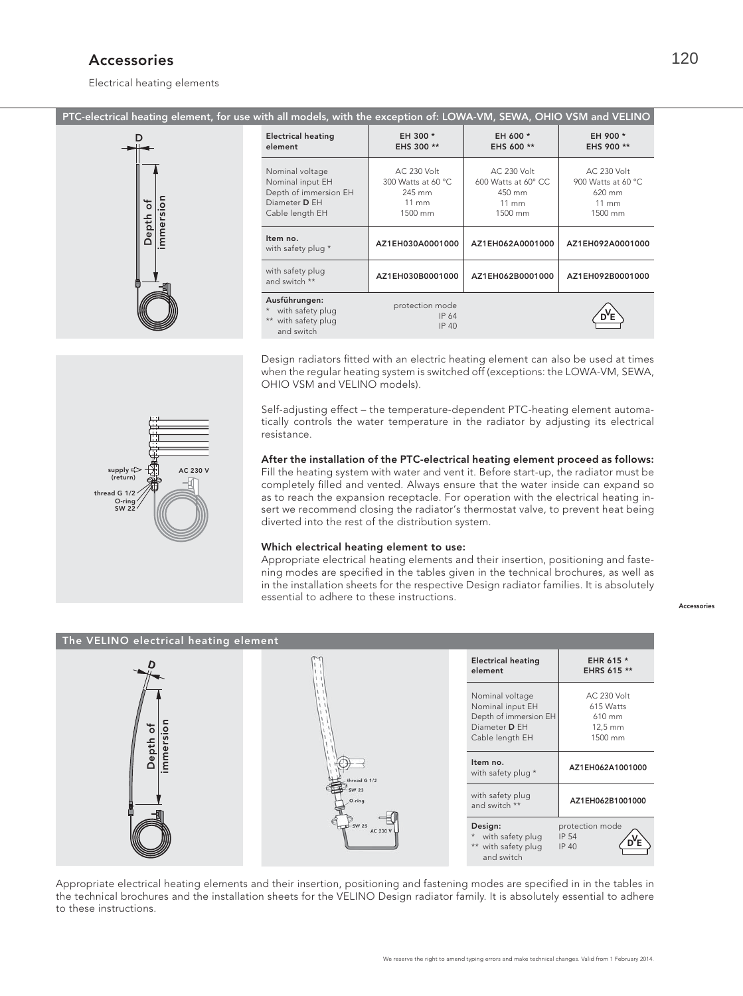# Accessories

Electrical heating elements

PTC-electrical heating element, for use with all models, with the exception of: LOWA-VM, SEWA, OHIO VSM and VELINO



| <b>Electrical heating</b><br>element                                                                    | EH 300 *<br>EHS 300 **                                                           | EH 600 *<br>EHS 600 **                                                            | EH 900 *<br>EHS 900 **                                                             |
|---------------------------------------------------------------------------------------------------------|----------------------------------------------------------------------------------|-----------------------------------------------------------------------------------|------------------------------------------------------------------------------------|
| Nominal voltage<br>Nominal input EH<br>Depth of immersion EH<br>Diameter <b>D</b> EH<br>Cable length EH | <b>AC 230 Volt</b><br>300 Watts at 60 °C<br>245 mm<br>$11 \text{ mm}$<br>1500 mm | <b>AC 230 Volt</b><br>600 Watts at 60° CC<br>450 mm<br>$11 \text{ mm}$<br>1500 mm | <b>AC 230 Volt</b><br>900 Watts at 60 °C<br>$620$ mm<br>$11 \text{ mm}$<br>1500 mm |
| Item no.<br>with safety plug *                                                                          | AZ1EH030A0001000                                                                 | AZ1EH062A0001000                                                                  | AZ1EH092A0001000                                                                   |
| with safety plug<br>and switch **                                                                       | AZ1EH030B0001000                                                                 | AZ1EH062B0001000                                                                  | AZ1EH092B0001000                                                                   |
| Ausführungen:<br>* with safety plug<br>** with safety plug<br>and switch                                | protection mode<br>IP 64<br>IP 40                                                |                                                                                   |                                                                                    |

Design radiators fitted with an electric heating element can also be used at times when the regular heating system is switched off (exceptions: the LOWA-VM, SEWA, OHIO VSM and VELINO models).

Self-adjusting effect – the temperature-dependent PTC-heating element automatically controls the water temperature in the radiator by adjusting its electrical resistance.

# After the installation of the PTC-electrical heating element proceed as follows:

Fill the heating system with water and vent it. Before start-up, the radiator must be completely filled and vented. Always ensure that the water inside can expand so as to reach the expansion receptacle. For operation with the electrical heating insert we recommend closing the radiator's thermostat valve, to prevent heat being diverted into the rest of the distribution system.

### Which electrical heating element to use:

Appropriate electrical heating elements and their insertion, positioning and fastening modes are specified in the tables given in the technical brochures, as well as in the installation sheets for the respective Design radiator families. It is absolutely essential to adhere to these instructions.

Accessories



Appropriate electrical heating elements and their insertion, positioning and fastening modes are specified in in the tables in the technical brochures and the installation sheets for the VELINO Design radiator family. It is absolutely essential to adhere to these instructions.

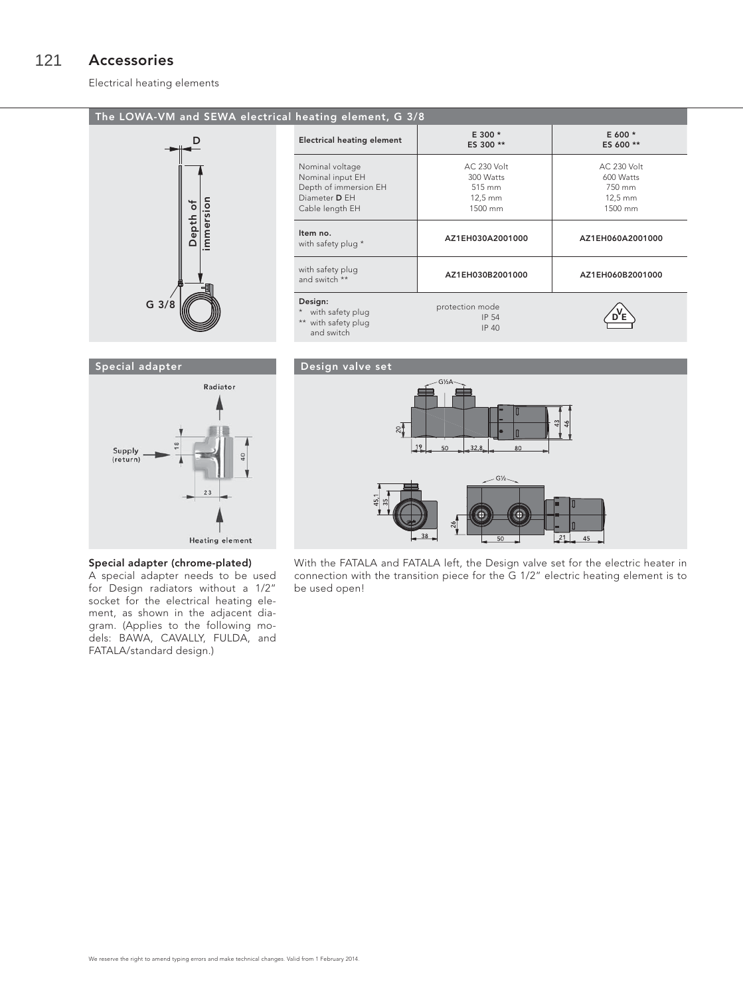#### Accessories 121

Electrical heating elements

# The LOWA-VM and SEWA electrical heating element, G 3/8



| $max_{\text{min}}$ crement, $\cup$ $\cup$ $\in$                                                  |                                                            |                                                                    |  |  |  |  |  |  |
|--------------------------------------------------------------------------------------------------|------------------------------------------------------------|--------------------------------------------------------------------|--|--|--|--|--|--|
| <b>Electrical heating element</b>                                                                | E 300 *<br>ES 300 **                                       | E 600 *<br>ES 600 **                                               |  |  |  |  |  |  |
| Nominal voltage<br>Nominal input EH<br>Depth of immersion EH<br>Diameter D EH<br>Cable length EH | AC 230 Volt<br>300 Watts<br>515 mm<br>$12,5$ mm<br>1500 mm | AC 230 Volt<br>600 Watts<br>750 mm<br>$12.5 \text{ mm}$<br>1500 mm |  |  |  |  |  |  |
| Item no.<br>with safety plug *                                                                   | AZ1EH030A2001000                                           | AZ1EH060A2001000                                                   |  |  |  |  |  |  |
| with safety plug<br>and switch **                                                                | AZ1EH030B2001000                                           | AZ1EH060B2001000                                                   |  |  |  |  |  |  |
| Design:<br>* with safety plug<br>** with safety plug<br>and switch                               | protection mode<br>IP 54<br><b>IP 40</b>                   |                                                                    |  |  |  |  |  |  |

# Special adapter



# Special adapter (chrome-plated)

A special adapter needs to be used for Design radiators without a 1/2" socket for the electrical heating element, as shown in the adjacent diagram. (Applies to the following models: BAWA, CAVALLY, FULDA, and FATALA/standard design.)

# Design valve set



With the FATALA and FATALA left, the Design valve set for the electric heater in connection with the transition piece for the G 1/2" electric heating element is to be used open!